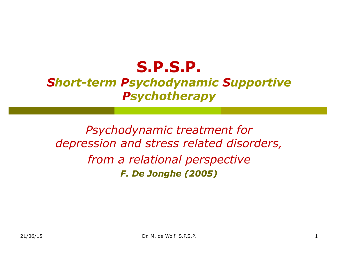### *Short-term Psychodynamic Supportive Psychotherapy*

*Psychodynamic treatment for depression and stress related disorders, from a relational perspective F. De Jonghe (2005)*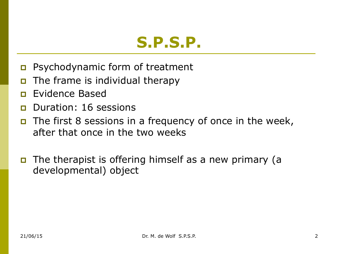- **p** Psychodynamic form of treatment
- **p** The frame is individual therapy
- **p** Evidence Based
- **p** Duration: 16 sessions
- **p** The first 8 sessions in a frequency of once in the week, after that once in the two weeks
- **p** The therapist is offering himself as a new primary (a developmental) object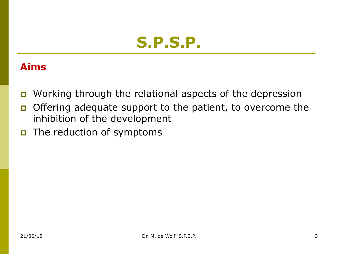#### **Aims**

- p Working through the relational aspects of the depression
- p Offering adequate support to the patient, to overcome the inhibition of the development
- **p** The reduction of symptoms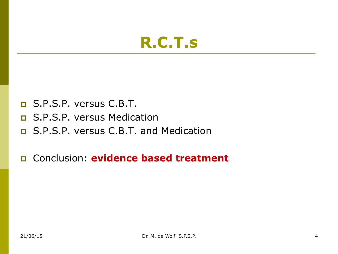### **R.C.T.s**

- p S.P.S.P. versus C.B.T.
- p S.P.S.P. versus Medication
- p S.P.S.P. versus C.B.T. and Medication
- p Conclusion: **evidence based treatment**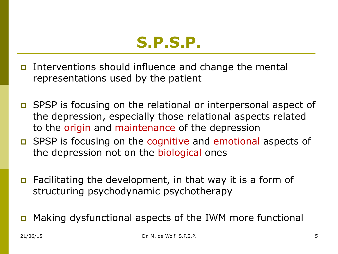

- p Interventions should influence and change the mental representations used by the patient
- p SPSP is focusing on the relational or interpersonal aspect of the depression, especially those relational aspects related to the origin and maintenance of the depression
- p SPSP is focusing on the cognitive and emotional aspects of the depression not on the biological ones
- p Facilitating the development, in that way it is a form of structuring psychodynamic psychotherapy
- Making dysfunctional aspects of the IWM more functional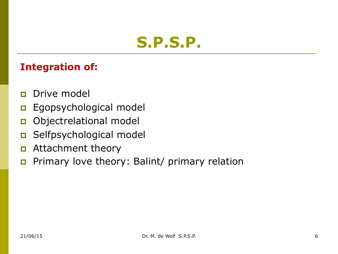#### **Integration of:**

- **p** Drive model
- **p** Egopsychological model
- p Objectrelational model
- p Selfpsychological model
- **p** Attachment theory
- p Primary love theory: Balint/ primary relation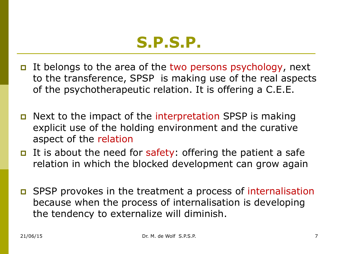

- p It belongs to the area of the two persons psychology, next to the transference, SPSP is making use of the real aspects of the psychotherapeutic relation. It is offering a C.E.E.
- p Next to the impact of the interpretation SPSP is making explicit use of the holding environment and the curative aspect of the relation
- p It is about the need for safety: offering the patient a safe relation in which the blocked development can grow again
- p SPSP provokes in the treatment a process of internalisation because when the process of internalisation is developing the tendency to externalize will diminish.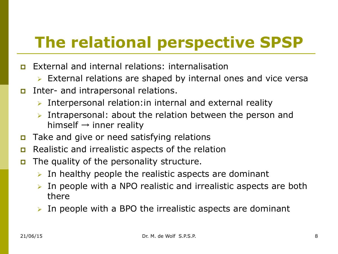# **The relational perspective SPSP**

- p External and internal relations: internalisation
	- $\triangleright$  External relations are shaped by internal ones and vice versa
- **p** Inter- and intrapersonal relations.
	- $\triangleright$  Interpersonal relation: in internal and external reality
	- $\triangleright$  Intrapersonal: about the relation between the person and himself  $\rightarrow$  inner reality
- **p** Take and give or need satisfying relations
- p Realistic and irrealistic aspects of the relation
- **p** The quality of the personality structure.
	- $\triangleright$  In healthy people the realistic aspects are dominant
	- $\triangleright$  In people with a NPO realistic and irrealistic aspects are both there
	- In people with a BPO the irrealistic aspects are dominant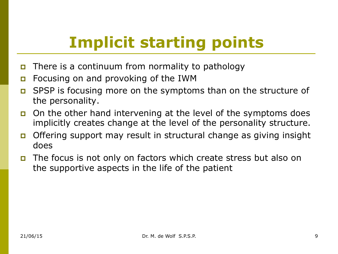# **Implicit starting points**

- **p** There is a continuum from normality to pathology
- **p** Focusing on and provoking of the IWM
- p SPSP is focusing more on the symptoms than on the structure of the personality.
- p On the other hand intervening at the level of the symptoms does implicitly creates change at the level of the personality structure.
- p Offering support may result in structural change as giving insight does
- p The focus is not only on factors which create stress but also on the supportive aspects in the life of the patient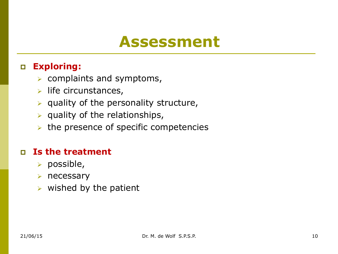### **Assessment**

#### p **Exploring:**

- $\triangleright$  complaints and symptoms,
- $\triangleright$  life circunstances,
- $\triangleright$  quality of the personality structure,
- $\triangleright$  quality of the relationships,
- $\triangleright$  the presence of specific competencies

#### p **Is the treatment**

- $\triangleright$  possible,
- $\triangleright$  necessary
- $\triangleright$  wished by the patient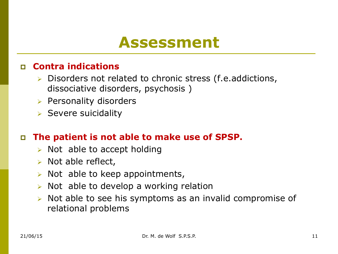### **Assessment**

#### p **Contra indications**

- $\triangleright$  Disorders not related to chronic stress (f.e.addictions, dissociative disorders, psychosis )
- $\triangleright$  Personality disorders
- $\triangleright$  Severe suicidality

#### p **The patient is not able to make use of SPSP.**

- $\triangleright$  Not able to accept holding
- $\triangleright$  Not able reflect,
- $\triangleright$  Not able to keep appointments,
- $\triangleright$  Not able to develop a working relation
- $\triangleright$  Not able to see his symptoms as an invalid compromise of relational problems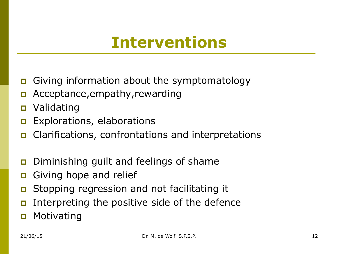### **Interventions**

- p Giving information about the symptomatology
- p Acceptance,empathy,rewarding
- p Validating
- **p** Explorations, elaborations
- p Clarifications, confrontations and interpretations
- **p** Diminishing guilt and feelings of shame
- **p** Giving hope and relief
- **p** Stopping regression and not facilitating it
- p Interpreting the positive side of the defence
- **p** Motivating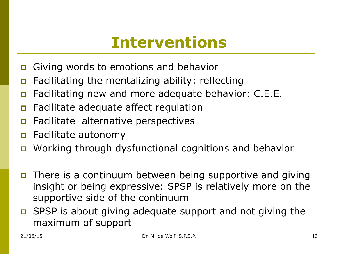### **Interventions**

- p Giving words to emotions and behavior
- p Facilitating the mentalizing ability: reflecting
- **p** Facilitating new and more adequate behavior: C.E.E.
- **p** Facilitate adequate affect regulation
- **p** Facilitate alternative perspectives
- p Facilitate autonomy
- p Working through dysfunctional cognitions and behavior
- p There is a continuum between being supportive and giving insight or being expressive: SPSP is relatively more on the supportive side of the continuum
- p SPSP is about giving adequate support and not giving the maximum of support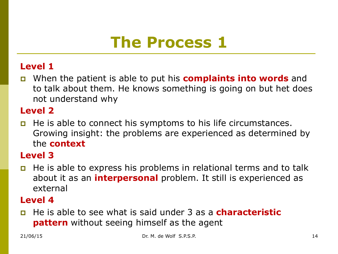# **The Process 1**

#### **Level 1**

p When the patient is able to put his **complaints into words** and to talk about them. He knows something is going on but het does not understand why

#### **Level 2**

p He is able to connect his symptoms to his life circumstances. Growing insight: the problems are experienced as determined by the **context** 

#### **Level 3**

p He is able to express his problems in relational terms and to talk about it as an **interpersonal** problem. It still is experienced as external

#### **Level 4**

p He is able to see what is said under 3 as a **characteristic pattern** without seeing himself as the agent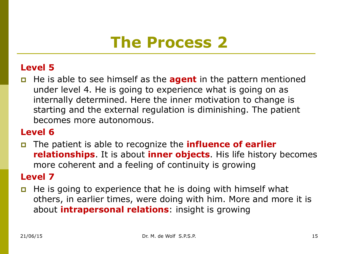# **The Process 2**

#### **Level 5**

p He is able to see himself as the **agent** in the pattern mentioned under level 4. He is going to experience what is going on as internally determined. Here the inner motivation to change is starting and the external regulation is diminishing. The patient becomes more autonomous.

#### **Level 6**

p The patient is able to recognize the **influence of earlier relationships**. It is about **inner objects**. His life history becomes more coherent and a feeling of continuity is growing

#### **Level 7**

**p** He is going to experience that he is doing with himself what others, in earlier times, were doing with him. More and more it is about **intrapersonal relations**: insight is growing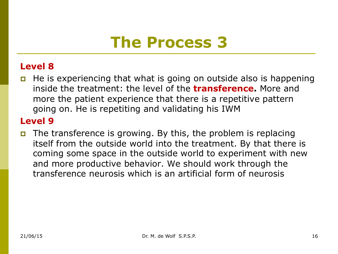### **The Process 3**

#### **Level 8**

p He is experiencing that what is going on outside also is happening inside the treatment: the level of the **transference.** More and more the patient experience that there is a repetitive pattern going on. He is repetiting and validating his IWM

#### **Level 9**

p The transference is growing. By this, the problem is replacing itself from the outside world into the treatment. By that there is coming some space in the outside world to experiment with new and more productive behavior. We should work through the transference neurosis which is an artificial form of neurosis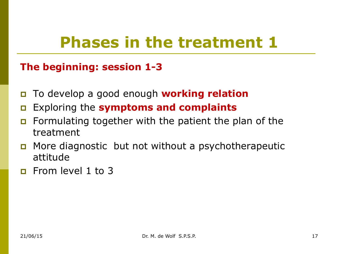# **Phases in the treatment 1**

#### **The beginning: session 1-3**

- p To develop a good enough **working relation**
- p Exploring the **symptoms and complaints**
- **p** Formulating together with the patient the plan of the treatment
- p More diagnostic but not without a psychotherapeutic attitude
- **p** From level 1 to 3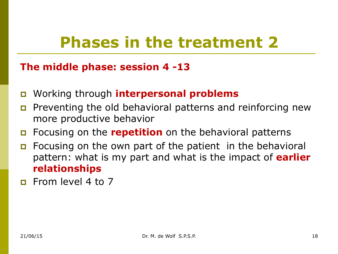# **Phases in the treatment 2**

#### **The middle phase: session 4 -13**

- p Working through **interpersonal problems**
- **p** Preventing the old behavioral patterns and reinforcing new more productive behavior
- p Focusing on the **repetition** on the behavioral patterns
- **p** Focusing on the own part of the patient in the behavioral pattern: what is my part and what is the impact of **earlier relationships**
- **p** From level 4 to 7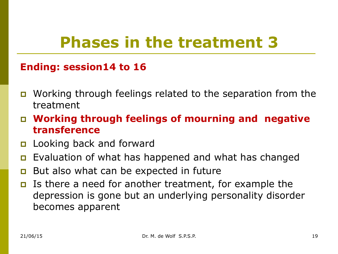# **Phases in the treatment 3**

#### **Ending: session14 to 16**

- p Working through feelings related to the separation from the treatment
- p **Working through feelings of mourning and negative transference**
- **p** Looking back and forward
- **p** Evaluation of what has happened and what has changed
- **p** But also what can be expected in future
- p Is there a need for another treatment, for example the depression is gone but an underlying personality disorder becomes apparent